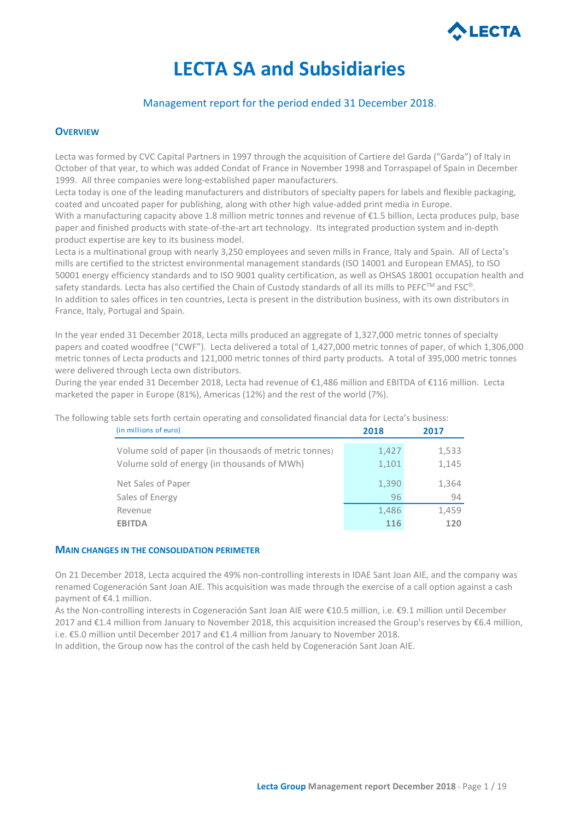

# **LECTA SA and Subsidiaries**

## Management report for the period ended 31 December 2018.

## **OVERVIEW**

Lecta was formed by CVC Capital Partners in 1997 through the acquisition of Cartiere del Garda ("Garda") of Italy in October of that year, to which was added Condat of France in November 1998 and Torraspapel of Spain in December 1999. All three companies were long-established paper manufacturers.

Lecta today is one of the leading manufacturers and distributors of specialty papers for labels and flexible packaging, coated and uncoated paper for publishing, along with other high value-added print media in Europe.

With a manufacturing capacity above 1.8 million metric tonnes and revenue of €1.5 billion, Lecta produces pulp, base paper and finished products with state-of-the-art art technology. Its integrated production system and in-depth product expertise are key to its business model.

Lecta is a multinational group with nearly 3,250 employees and seven mills in France, Italy and Spain. All of Lecta's mills are certified to the strictest environmental management standards (ISO 14001 and European EMAS), to ISO 50001 energy efficiency standards and to ISO 9001 quality certification, as well as OHSAS 18001 occupation health and safety standards. Lecta has also certified the Chain of Custody standards of all its mills to PEFC™ and FSC®. In addition to sales offices in ten countries, Lecta is present in the distribution business, with its own distributors in France, Italy, Portugal and Spain.

In the year ended 31 December 2018, Lecta mills produced an aggregate of 1,327,000 metric tonnes of specialty papers and coated woodfree ("CWF"). Lecta delivered a total of 1,427,000 metric tonnes of paper, of which 1,306,000 metric tonnes of Lecta products and 121,000 metric tonnes of third party products. A total of 395,000 metric tonnes were delivered through Lecta own distributors.

During the year ended 31 December 2018, Lecta had revenue of €1,486 million and EBITDA of €116 million. Lecta marketed the paper in Europe (81%), Americas (12%) and the rest of the world (7%).

The following table sets forth certain operating and consolidated financial data for Lecta's business:

| (in millions of euro)                                | 2018  | 2017  |
|------------------------------------------------------|-------|-------|
| Volume sold of paper (in thousands of metric tonnes) | 1,427 | 1,533 |
| Volume sold of energy (in thousands of MWh)          | 1,101 | 1,145 |
| Net Sales of Paper                                   | 1,390 | 1,364 |
| Sales of Energy                                      | 96    | 94    |
| Revenue                                              | 1,486 | 1,459 |
| <b>EBITDA</b>                                        | 116   | 120   |

#### **MAIN CHANGES IN THE CONSOLIDATION PERIMETER**

On 21 December 2018, Lecta acquired the 49% non-controlling interests in IDAE Sant Joan AIE, and the company was renamed Cogeneración Sant Joan AIE. This acquisition was made through the exercise of a call option against a cash payment of €4.1 million.

As the Non-controlling interests in Cogeneración Sant Joan AIE were €10.5 million, i.e. €9.1 million until December 2017 and €1.4 million from January to November 2018, this acquisition increased the Group's reserves by €6.4 million, i.e. €5.0 million until December 2017 and €1.4 million from January to November 2018.

In addition, the Group now has the control of the cash held by Cogeneración Sant Joan AIE.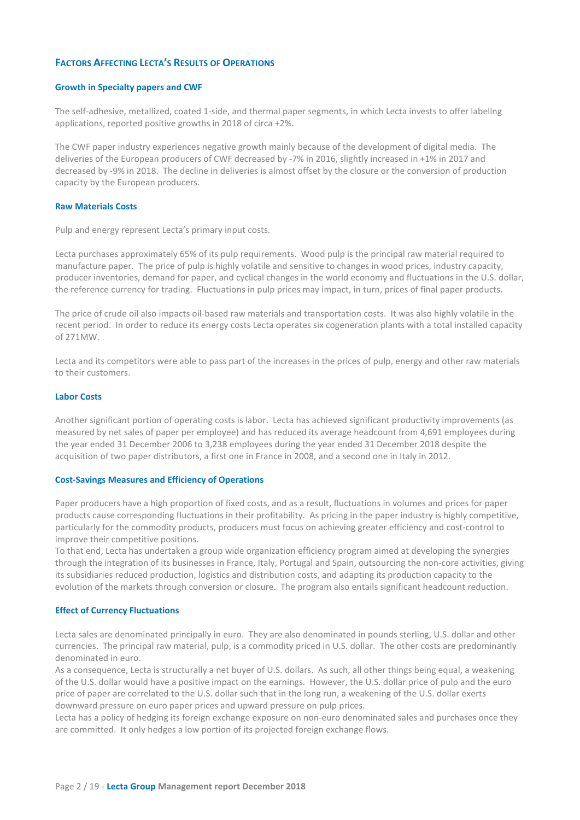## **FACTORS AFFECTING LECTA'S RESULTS OF OPERATIONS**

#### **Growth in Specialty papers and CWF**

The self-adhesive, metallized, coated 1-side, and thermal paper segments, in which Lecta invests to offer labeling applications, reported positive growths in 2018 of circa +2%.

The CWF paper industry experiences negative growth mainly because of the development of digital media. The deliveries of the European producers of CWF decreased by -7% in 2016, slightly increased in +1% in 2017 and decreased by -9% in 2018. The decline in deliveries is almost offset by the closure or the conversion of production capacity by the European producers.

## **Raw Materials Costs**

Pulp and energy represent Lecta's primary input costs.

Lecta purchases approximately 65% of its pulp requirements. Wood pulp is the principal raw material required to manufacture paper. The price of pulp is highly volatile and sensitive to changes in wood prices, industry capacity, producer inventories, demand for paper, and cyclical changes in the world economy and fluctuations in the U.S. dollar, the reference currency for trading. Fluctuations in pulp prices may impact, in turn, prices of final paper products.

The price of crude oil also impacts oil-based raw materials and transportation costs. It was also highly volatile in the recent period. In order to reduce its energy costs Lecta operates six cogeneration plants with a total installed capacity of 271MW.

Lecta and its competitors were able to pass part of the increases in the prices of pulp, energy and other raw materials to their customers.

#### **Labor Costs**

Another significant portion of operating costs is labor. Lecta has achieved significant productivity improvements (as measured by net sales of paper per employee) and has reduced its average headcount from 4,691 employees during the year ended 31 December 2006 to 3,238 employees during the year ended 31 December 2018 despite the acquisition of two paper distributors, a first one in France in 2008, and a second one in Italy in 2012.

#### **Cost-Savings Measures and Efficiency of Operations**

Paper producers have a high proportion of fixed costs, and as a result, fluctuations in volumes and prices for paper products cause corresponding fluctuations in their profitability. As pricing in the paper industry is highly competitive, particularly for the commodity products, producers must focus on achieving greater efficiency and cost-control to improve their competitive positions.

To that end, Lecta has undertaken a group wide organization efficiency program aimed at developing the synergies through the integration of its businesses in France, Italy, Portugal and Spain, outsourcing the non-core activities, giving its subsidiaries reduced production, logistics and distribution costs, and adapting its production capacity to the evolution of the markets through conversion or closure. The program also entails significant headcount reduction.

#### **Effect of Currency Fluctuations**

Lecta sales are denominated principally in euro. They are also denominated in pounds sterling, U.S. dollar and other currencies. The principal raw material, pulp, is a commodity priced in U.S. dollar. The other costs are predominantly denominated in euro.

As a consequence, Lecta is structurally a net buyer of U.S. dollars. As such, all other things being equal, a weakening of the U.S. dollar would have a positive impact on the earnings. However, the U.S. dollar price of pulp and the euro price of paper are correlated to the U.S. dollar such that in the long run, a weakening of the U.S. dollar exerts downward pressure on euro paper prices and upward pressure on pulp prices.

Lecta has a policy of hedging its foreign exchange exposure on non-euro denominated sales and purchases once they are committed. It only hedges a low portion of its projected foreign exchange flows.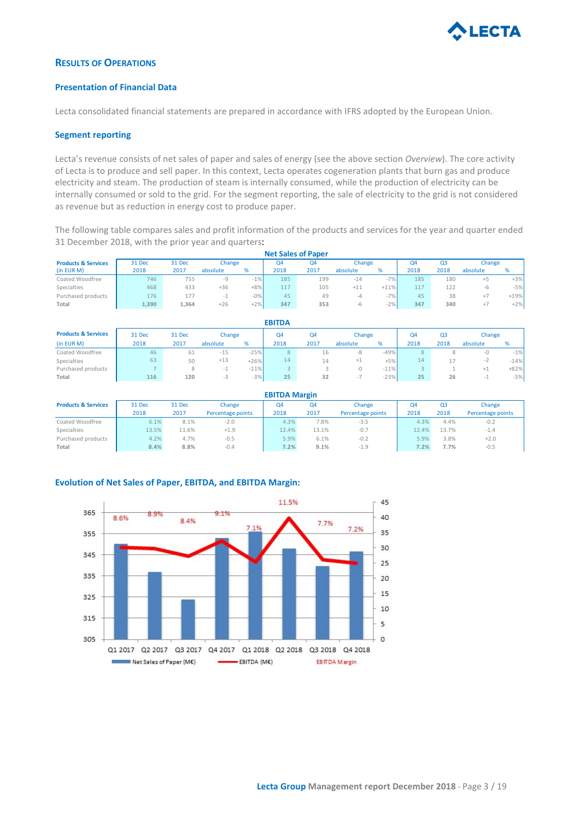

## **RESULTS OF OPERATIONS**

## **Presentation of Financial Data**

Lecta consolidated financial statements are prepared in accordance with IFRS adopted by the European Union.

## **Segment reporting**

Lecta's revenue consists of net sales of paper and sales of energy (see the above section *Overview*). The core activity of Lecta is to produce and sell paper. In this context, Lecta operates cogeneration plants that burn gas and produce electricity and steam. The production of steam is internally consumed, while the production of electricity can be internally consumed or sold to the grid. For the segment reporting, the sale of electricity to the grid is not considered as revenue but as reduction in energy cost to produce paper.

The following table compares sales and profit information of the products and services for the year and quarter ended 31 December 2018, with the prior year and quarters:

| <b>Net Sales of Paper</b>      |        |        |          |       |      |      |          |        |      |      |          |        |
|--------------------------------|--------|--------|----------|-------|------|------|----------|--------|------|------|----------|--------|
| <b>Products &amp; Services</b> | 31 Dec | 31 Dec | Change   |       | Q4   | Q4   | Change   |        | Q4   | Q3   | Change   |        |
| (in EUR M)                     | 2018   | 2017   | absolute | %     | 2018 | 2017 | absolute | %      | 2018 | 2018 | absolute | %      |
| Coated Woodfree                | 746    | 755    |          | $-1%$ | 185  | 199  | $-14$    | $-7%$  | 185  | 180  | $+5$     | $+3%$  |
| Specialties                    | 468    | 433    | $+36$    | $+8%$ | 117  | 105  | $+11$    | $+11%$ | 117  | 122  | -6       | $-5%$  |
| Purchased products             | 176    | 177    |          | $-0%$ | 45   | 49   | -4       | $-7%$  | 45   | 38   | $+7$     | $+19%$ |
| Total                          | 1,390  | 1.364  | $+26$    | $+2%$ | 347  | 353  | -b       | $-2%$  | 347  | 340  | $+7$     | $+2%$  |

| <b>EBITDA</b>                  |        |        |          |        |      |      |          |        |        |                |          |        |
|--------------------------------|--------|--------|----------|--------|------|------|----------|--------|--------|----------------|----------|--------|
| <b>Products &amp; Services</b> | 31 Dec | 31 Dec | Change   |        | Q4   | Q4   | Change   |        | Q4     | Q <sub>3</sub> | Change   |        |
| (in EUR M)                     | 2018   | 2017   | absolute | %      | 2018 | 2017 | absolute | %      | 2018   | 2018           | absolute | %      |
| Coated Woodfree                | 46     | 61     | $-15$    | $-25%$ | 8    | 16   | -8       | $-49%$ | 8      |                | -0       | $-1%$  |
| Specialties                    | 63     | 50     | $+13$    | $+26%$ | 14   | 14   | $+1$     | $+5%$  | 14     |                | ∼        | $-14%$ |
| Purchased products             |        | δ.     |          | $-11%$ |      |      | -0       | $-11%$ | $\sim$ |                | ÷ı       | $+82%$ |
| Total                          | 116    | 120    | -3       | $-3\%$ | 25   | 32   | . .      | $-23%$ | 25     | 26             |          | $-5%$  |

|                                | <b>EBITDA Margin</b> |        |                   |       |       |                   |       |       |                   |  |  |  |
|--------------------------------|----------------------|--------|-------------------|-------|-------|-------------------|-------|-------|-------------------|--|--|--|
| <b>Products &amp; Services</b> | 31 Dec               | 31 Dec | Change            | Q4    | Q4    | Change            | Q4    | Q3    | Change            |  |  |  |
|                                | 2018                 | 2017   | Percentage points | 2018  | 2017  | Percentage points | 2018  | 2018  | Percentage points |  |  |  |
| Coated Woodfree                | 6.1%                 | 8.1%   | $-2.0$            | 4.3%  | 7.8%  | $-3.5$            | 4.3%  | 4.4%  | $-0.2$            |  |  |  |
| Specialties                    | 13.5%                | 11.6%  | $+1.9$            | 12.4% | 13.1% | $-0.7$            | 12.4% | 13.7% | $-1.4$            |  |  |  |
| Purchased products             | 4.2%                 | 4.7%   | $-0.5$            | 5.9%  | 6.1%  | $-0.2$            | 5.9%  | 3.8%  | $+2.0$            |  |  |  |
| Total                          | 8.4%                 | 8.8%   | $-0.4$            | 7.2%  | 9.1%  | $-1.9$            | 7.2%  | 7.7%  | $-0.5$            |  |  |  |

## **Evolution of Net Sales of Paper, EBITDA, and EBITDA Margin:**

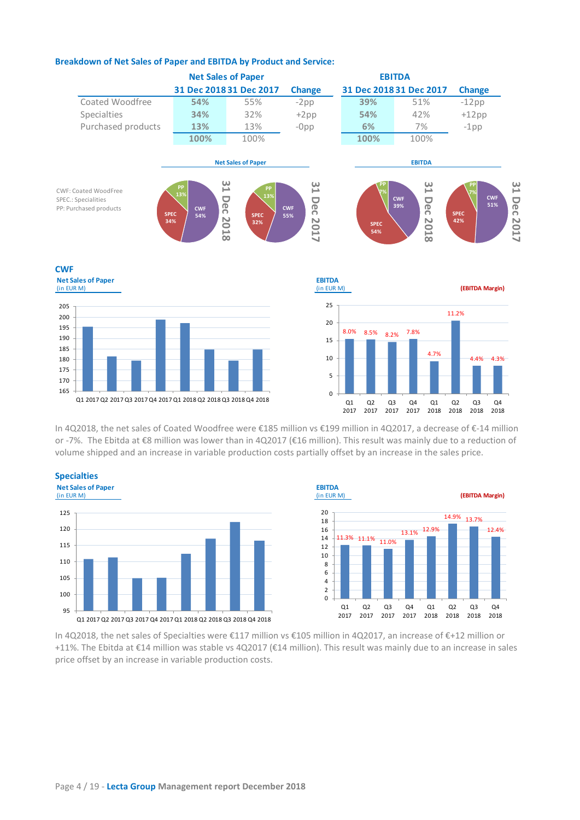

## **Breakdown of Net Sales of Paper and EBITDA by Product and Service:**

In 4Q2018, the net sales of Coated Woodfree were €185 million vs €199 million in 4Q2017, a decrease of €-14 million or -7%. The Ebitda at €8 million was lower than in 4Q2017 (€16 million). This result was mainly due to a reduction of volume shipped and an increase in variable production costs partially offset by an increase in the sales price.







In 4Q2018, the net sales of Specialties were €117 million vs €105 million in 4Q2017, an increase of €+12 million or +11%. The Ebitda at €14 million was stable vs 4Q2017 (€14 million). This result was mainly due to an increase in sales price offset by an increase in variable production costs.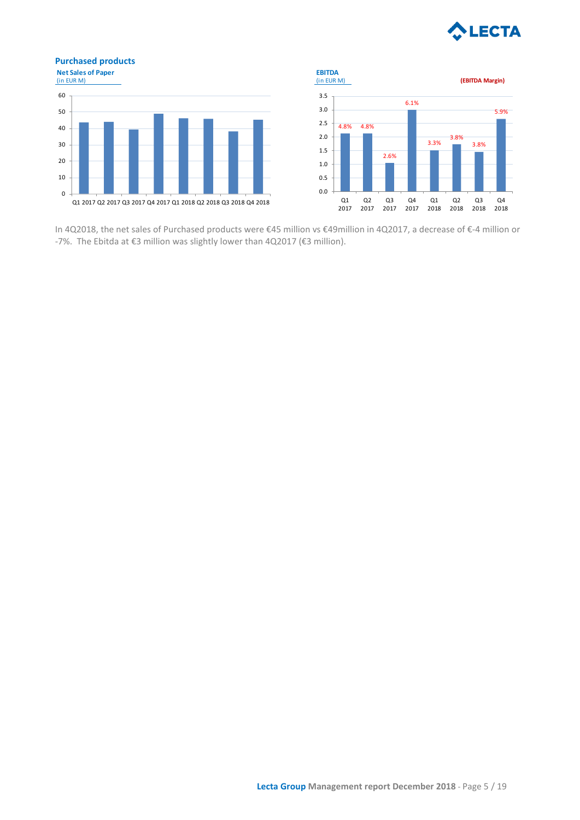

# **Purchased products**





In 4Q2018, the net sales of Purchased products were €45 million vs €49million in 4Q2017, a decrease of €-4 million or -7%. The Ebitda at €3 million was slightly lower than 4Q2017 (€3 million).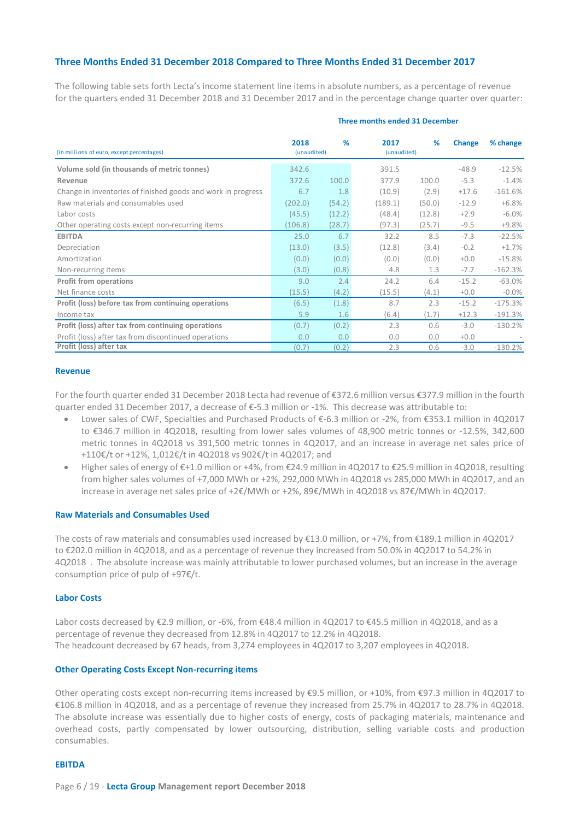## **Three Months Ended 31 December 2018 Compared to Three Months Ended 31 December 2017**

The following table sets forth Lecta's income statement line items in absolute numbers, as a percentage of revenue for the quarters ended 31 December 2018 and 31 December 2017 and in the percentage change quarter over quarter:

| (in millions of euro, except percentages)                    | 2018<br>(unaudited) | %      | 2017<br>(unaudited) | %      | <b>Change</b> | % change  |
|--------------------------------------------------------------|---------------------|--------|---------------------|--------|---------------|-----------|
| Volume sold (in thousands of metric tonnes)                  | 342.6               |        | 391.5               |        | $-48.9$       | $-12.5%$  |
| Revenue                                                      | 372.6               | 100.0  | 377.9               | 100.0  | $-5.3$        | $-1.4%$   |
| Change in inventories of finished goods and work in progress | 6.7                 | 1.8    | (10.9)              | (2.9)  | $+17.6$       | $-161.6%$ |
| Raw materials and consumables used                           | (202.0)             | (54.2) | (189.1)             | (50.0) | $-12.9$       | $+6.8%$   |
| Labor costs                                                  | (45.5)              | (12.2) | (48.4)              | (12.8) | $+2.9$        | $-6.0\%$  |
| Other operating costs except non-recurring items             | (106.8)             | (28.7) | (97.3)              | (25.7) | $-9.5$        | $+9.8%$   |
| <b>EBITDA</b>                                                | 25.0                | 6.7    | 32.2                | 8.5    | $-7.3$        | $-22.5%$  |
| Depreciation                                                 | (13.0)              | (3.5)  | (12.8)              | (3.4)  | $-0.2$        | $+1.7%$   |
| Amortization                                                 | (0.0)               | (0.0)  | (0.0)               | (0.0)  | $+0.0$        | $-15.8%$  |
| Non-recurring items                                          | (3.0)               | (0.8)  | 4.8                 | 1.3    | $-7.7$        | $-162.3%$ |
| <b>Profit from operations</b>                                | 9.0                 | 2.4    | 24.2                | 6.4    | $-15.2$       | $-63.0%$  |
| Net finance costs                                            | (15.5)              | (4.2)  | (15.5)              | (4.1)  | $+0.0$        | $-0.0\%$  |
| Profit (loss) before tax from continuing operations          | (6.5)               | (1.8)  | 8.7                 | 2.3    | $-15.2$       | $-175.3%$ |
| Income tax                                                   | 5.9                 | 1.6    | (6.4)               | (1.7)  | $+12.3$       | $-191.3%$ |
| Profit (loss) after tax from continuing operations           | (0.7)               | (0.2)  | 2.3                 | 0.6    | $-3.0$        | $-130.2%$ |
| Profit (loss) after tax from discontinued operations         | 0.0                 | 0.0    | 0.0                 | 0.0    | $+0.0$        |           |
| Profit (loss) after tax                                      | (0.7)               | (0.2)  | 2.3                 | 0.6    | $-3.0$        | $-130.2%$ |

#### **Three months ended 31 December**

#### **Revenue**

For the fourth quarter ended 31 December 2018 Lecta had revenue of €372.6 million versus €377.9 million in the fourth quarter ended 31 December 2017, a decrease of €-5.3 million or -1%. This decrease was attributable to:

- Lower sales of CWF, Specialties and Purchased Products of €-6.3 million or -2%, from €353.1 million in 4Q2017 to €346.7 million in 4Q2018, resulting from lower sales volumes of 48,900 metric tonnes or -12.5%, 342,600 metric tonnes in 4Q2018 vs 391,500 metric tonnes in 4Q2017, and an increase in average net sales price of +110€/t or +12%, 1,012€/t in 4Q2018 vs 902€/t in 4Q2017; and
- Higher sales of energy of €+1.0 million or +4%, from €24.9 million in 4Q2017 to €25.9 million in 4Q2018, resulting from higher sales volumes of +7,000 MWh or +2%, 292,000 MWh in 4Q2018 vs 285,000 MWh in 4Q2017, and an increase in average net sales price of +2€/MWh or +2%, 89€/MWh in 4Q2018 vs 87€/MWh in 4Q2017.

#### **Raw Materials and Consumables Used**

The costs of raw materials and consumables used increased by €13.0 million, or +7%, from €189.1 million in 4Q2017 to €202.0 million in 4Q2018, and as a percentage of revenue they increased from 50.0% in 4Q2017 to 54.2% in 4Q2018 . The absolute increase was mainly attributable to lower purchased volumes, but an increase in the average consumption price of pulp of +97€/t.

#### **Labor Costs**

Labor costs decreased by €2.9 million, or -6%, from €48.4 million in 4Q2017 to €45.5 million in 4Q2018, and as a percentage of revenue they decreased from 12.8% in 4Q2017 to 12.2% in 4Q2018. The headcount decreased by 67 heads, from 3,274 employees in 4Q2017 to 3,207 employees in 4Q2018.

#### **Other Operating Costs Except Non-recurring items**

Other operating costs except non-recurring items increased by €9.5 million, or +10%, from €97.3 million in 4Q2017 to €106.8 million in 4Q2018, and as a percentage of revenue they increased from 25.7% in 4Q2017 to 28.7% in 4Q2018. The absolute increase was essentially due to higher costs of energy, costs of packaging materials, maintenance and overhead costs, partly compensated by lower outsourcing, distribution, selling variable costs and production consumables.

#### **EBITDA**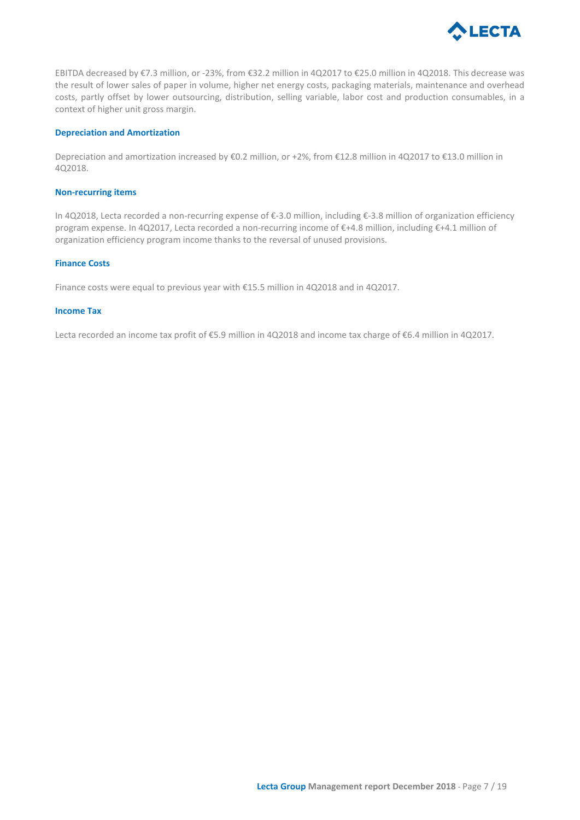

EBITDA decreased by €7.3 million, or -23%, from €32.2 million in 4Q2017 to €25.0 million in 4Q2018. This decrease was the result of lower sales of paper in volume, higher net energy costs, packaging materials, maintenance and overhead costs, partly offset by lower outsourcing, distribution, selling variable, labor cost and production consumables, in a context of higher unit gross margin.

## **Depreciation and Amortization**

Depreciation and amortization increased by €0.2 million, or +2%, from €12.8 million in 4Q2017 to €13.0 million in 4Q2018.

#### **Non-recurring items**

In 4Q2018, Lecta recorded a non-recurring expense of €-3.0 million, including €-3.8 million of organization efficiency program expense. In 4Q2017, Lecta recorded a non-recurring income of €+4.8 million, including €+4.1 million of organization efficiency program income thanks to the reversal of unused provisions.

#### **Finance Costs**

Finance costs were equal to previous year with €15.5 million in 4Q2018 and in 4Q2017.

#### **Income Tax**

Lecta recorded an income tax profit of €5.9 million in 4Q2018 and income tax charge of €6.4 million in 4Q2017.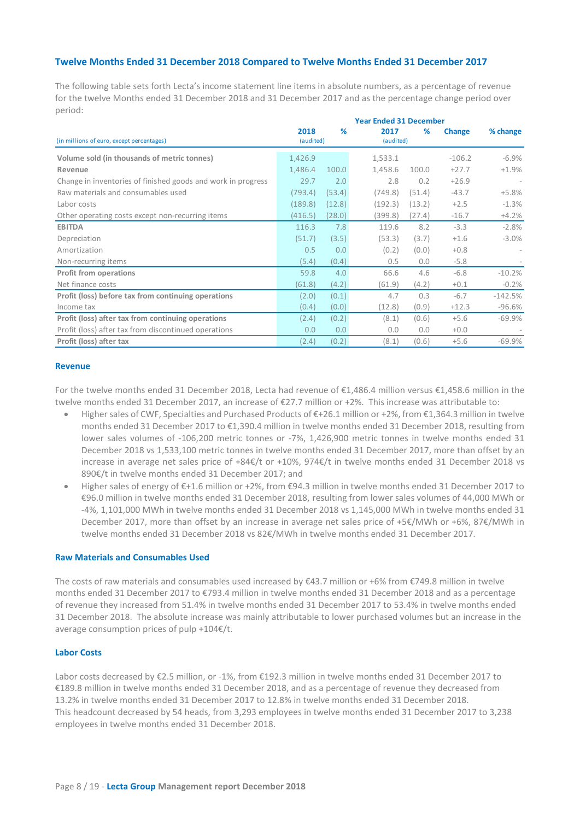## **Twelve Months Ended 31 December 2018 Compared to Twelve Months Ended 31 December 2017**

The following table sets forth Lecta's income statement line items in absolute numbers, as a percentage of revenue for the twelve Months ended 31 December 2018 and 31 December 2017 and as the percentage change period over period:

|                                                              | <b>Year Ended 31 December</b> |        |                   |        |          |           |  |  |  |
|--------------------------------------------------------------|-------------------------------|--------|-------------------|--------|----------|-----------|--|--|--|
| (in millions of euro, except percentages)                    | 2018<br>(audited)             | %      | 2017<br>(audited) | %      | Change   | % change  |  |  |  |
| Volume sold (in thousands of metric tonnes)                  | 1,426.9                       |        | 1,533.1           |        | $-106.2$ | $-6.9%$   |  |  |  |
| Revenue                                                      | 1,486.4                       | 100.0  | 1,458.6           | 100.0  | $+27.7$  | $+1.9%$   |  |  |  |
| Change in inventories of finished goods and work in progress | 29.7                          | 2.0    | 2.8               | 0.2    | $+26.9$  |           |  |  |  |
| Raw materials and consumables used                           | (793.4)                       | (53.4) | (749.8)           | (51.4) | $-43.7$  | $+5.8%$   |  |  |  |
| Labor costs                                                  | (189.8)                       | (12.8) | (192.3)           | (13.2) | $+2.5$   | $-1.3%$   |  |  |  |
| Other operating costs except non-recurring items             | (416.5)                       | (28.0) | (399.8)           | (27.4) | $-16.7$  | $+4.2%$   |  |  |  |
| <b>EBITDA</b>                                                | 116.3                         | 7.8    | 119.6             | 8.2    | $-3.3$   | $-2.8%$   |  |  |  |
| Depreciation                                                 | (51.7)                        | (3.5)  | (53.3)            | (3.7)  | $+1.6$   | $-3.0%$   |  |  |  |
| Amortization                                                 | 0.5                           | 0.0    | (0.2)             | (0.0)  | $+0.8$   |           |  |  |  |
| Non-recurring items                                          | (5.4)                         | (0.4)  | 0.5               | 0.0    | $-5.8$   |           |  |  |  |
| <b>Profit from operations</b>                                | 59.8                          | 4.0    | 66.6              | 4.6    | $-6.8$   | $-10.2%$  |  |  |  |
| Net finance costs                                            | (61.8)                        | (4.2)  | (61.9)            | (4.2)  | $+0.1$   | $-0.2%$   |  |  |  |
| Profit (loss) before tax from continuing operations          | (2.0)                         | (0.1)  | 4.7               | 0.3    | $-6.7$   | $-142.5%$ |  |  |  |
| Income tax                                                   | (0.4)                         | (0.0)  | (12.8)            | (0.9)  | $+12.3$  | $-96.6%$  |  |  |  |
| Profit (loss) after tax from continuing operations           | (2.4)                         | (0.2)  | (8.1)             | (0.6)  | $+5.6$   | $-69.9%$  |  |  |  |
| Profit (loss) after tax from discontinued operations         | 0.0                           | 0.0    | 0.0               | 0.0    | $+0.0$   |           |  |  |  |
| Profit (loss) after tax                                      | (2.4)                         | (0.2)  | (8.1)             | (0.6)  | $+5.6$   | $-69.9%$  |  |  |  |

#### **Revenue**

For the twelve months ended 31 December 2018, Lecta had revenue of €1,486.4 million versus €1,458.6 million in the twelve months ended 31 December 2017, an increase of €27.7 million or +2%. This increase was attributable to:

- Higher sales of CWF, Specialties and Purchased Products of €+26.1 million or +2%, from €1,364.3 million in twelve months ended 31 December 2017 to €1,390.4 million in twelve months ended 31 December 2018, resulting from lower sales volumes of -106,200 metric tonnes or -7%, 1,426,900 metric tonnes in twelve months ended 31 December 2018 vs 1,533,100 metric tonnes in twelve months ended 31 December 2017, more than offset by an increase in average net sales price of +84€/t or +10%, 974€/t in twelve months ended 31 December 2018 vs 890€/t in twelve months ended 31 December 2017; and
- Higher sales of energy of €+1.6 million or +2%, from €94.3 million in twelve months ended 31 December 2017 to €96.0 million in twelve months ended 31 December 2018, resulting from lower sales volumes of 44,000 MWh or -4%, 1,101,000 MWh in twelve months ended 31 December 2018 vs 1,145,000 MWh in twelve months ended 31 December 2017, more than offset by an increase in average net sales price of +5€/MWh or +6%, 87€/MWh in twelve months ended 31 December 2018 vs 82€/MWh in twelve months ended 31 December 2017.

#### **Raw Materials and Consumables Used**

The costs of raw materials and consumables used increased by €43.7 million or +6% from €749.8 million in twelve months ended 31 December 2017 to €793.4 million in twelve months ended 31 December 2018 and as a percentage of revenue they increased from 51.4% in twelve months ended 31 December 2017 to 53.4% in twelve months ended 31 December 2018. The absolute increase was mainly attributable to lower purchased volumes but an increase in the average consumption prices of pulp +104€/t.

#### **Labor Costs**

Labor costs decreased by €2.5 million, or -1%, from €192.3 million in twelve months ended 31 December 2017 to €189.8 million in twelve months ended 31 December 2018, and as a percentage of revenue they decreased from 13.2% in twelve months ended 31 December 2017 to 12.8% in twelve months ended 31 December 2018. This headcount decreased by 54 heads, from 3,293 employees in twelve months ended 31 December 2017 to 3,238 employees in twelve months ended 31 December 2018.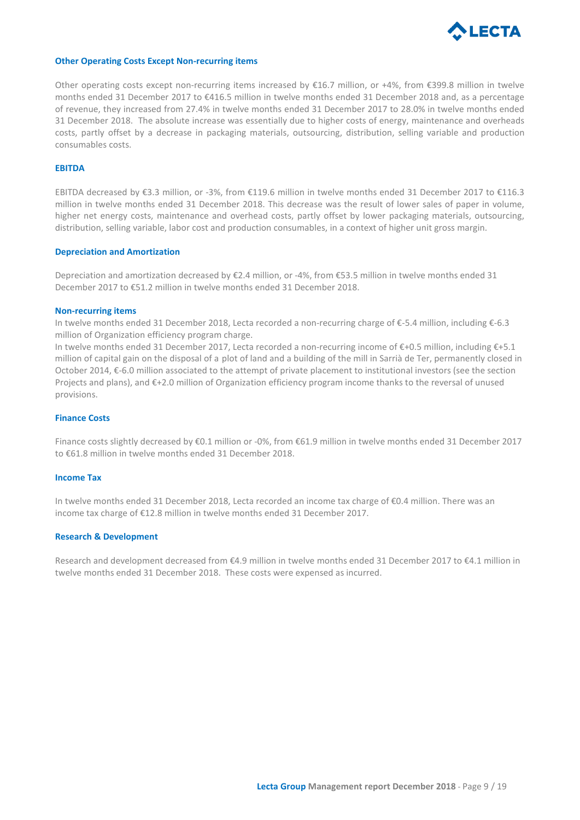

#### **Other Operating Costs Except Non-recurring items**

Other operating costs except non-recurring items increased by €16.7 million, or +4%, from €399.8 million in twelve months ended 31 December 2017 to €416.5 million in twelve months ended 31 December 2018 and, as a percentage of revenue, they increased from 27.4% in twelve months ended 31 December 2017 to 28.0% in twelve months ended 31 December 2018. The absolute increase was essentially due to higher costs of energy, maintenance and overheads costs, partly offset by a decrease in packaging materials, outsourcing, distribution, selling variable and production consumables costs.

## **EBITDA**

EBITDA decreased by €3.3 million, or -3%, from €119.6 million in twelve months ended 31 December 2017 to €116.3 million in twelve months ended 31 December 2018. This decrease was the result of lower sales of paper in volume, higher net energy costs, maintenance and overhead costs, partly offset by lower packaging materials, outsourcing, distribution, selling variable, labor cost and production consumables, in a context of higher unit gross margin.

#### **Depreciation and Amortization**

Depreciation and amortization decreased by €2.4 million, or -4%, from €53.5 million in twelve months ended 31 December 2017 to €51.2 million in twelve months ended 31 December 2018.

#### **Non-recurring items**

In twelve months ended 31 December 2018, Lecta recorded a non-recurring charge of €-5.4 million, including €-6.3 million of Organization efficiency program charge.

In twelve months ended 31 December 2017, Lecta recorded a non-recurring income of €+0.5 million, including €+5.1 million of capital gain on the disposal of a plot of land and a building of the mill in Sarrià de Ter, permanently closed in October 2014, €-6.0 million associated to the attempt of private placement to institutional investors (see the section Projects and plans), and €+2.0 million of Organization efficiency program income thanks to the reversal of unused provisions.

#### **Finance Costs**

Finance costs slightly decreased by €0.1 million or -0%, from €61.9 million in twelve months ended 31 December 2017 to €61.8 million in twelve months ended 31 December 2018.

#### **Income Tax**

In twelve months ended 31 December 2018, Lecta recorded an income tax charge of €0.4 million. There was an income tax charge of €12.8 million in twelve months ended 31 December 2017.

#### **Research & Development**

Research and development decreased from €4.9 million in twelve months ended 31 December 2017 to €4.1 million in twelve months ended 31 December 2018. These costs were expensed as incurred.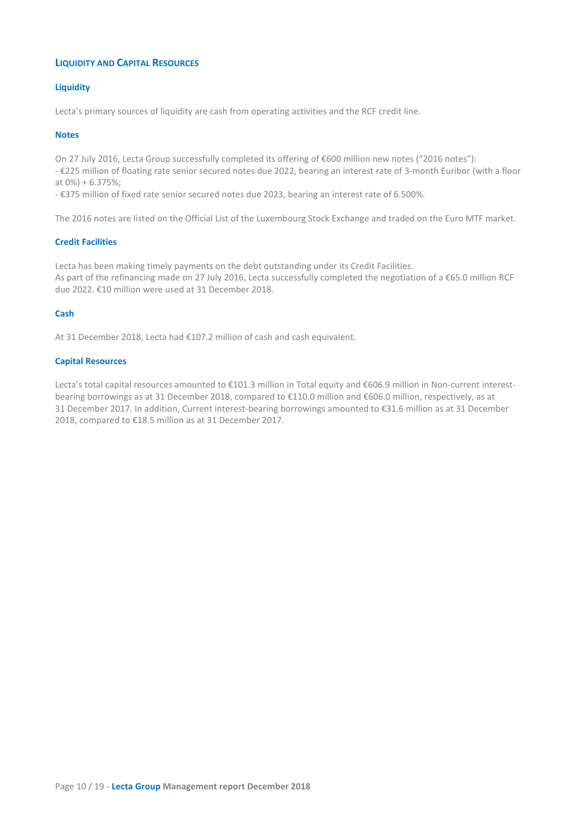## **LIQUIDITY AND CAPITAL RESOURCES**

## **Liquidity**

Lecta's primary sources of liquidity are cash from operating activities and the RCF credit line.

## **Notes**

On 27 July 2016, Lecta Group successfully completed its offering of €600 million new notes ("2016 notes"):

- €225 million of floating rate senior secured notes due 2022, bearing an interest rate of 3-month Euribor (with a floor at 0%) + 6.375%;

- €375 million of fixed rate senior secured notes due 2023, bearing an interest rate of 6.500%.

The 2016 notes are listed on the Official List of the Luxembourg Stock Exchange and traded on the Euro MTF market.

## **Credit Facilities**

Lecta has been making timely payments on the debt outstanding under its Credit Facilities. As part of the refinancing made on 27 July 2016, Lecta successfully completed the negotiation of a €65.0 million RCF due 2022. €10 million were used at 31 December 2018.

## **Cash**

At 31 December 2018, Lecta had €107.2 million of cash and cash equivalent.

## **Capital Resources**

Lecta's total capital resources amounted to €101.3 million in Total equity and €606.9 million in Non-current interestbearing borrowings as at 31 December 2018, compared to €110.0 million and €606.0 million, respectively, as at 31 December 2017. In addition, Current interest-bearing borrowings amounted to €31.6 million as at 31 December 2018, compared to €18.5 million as at 31 December 2017.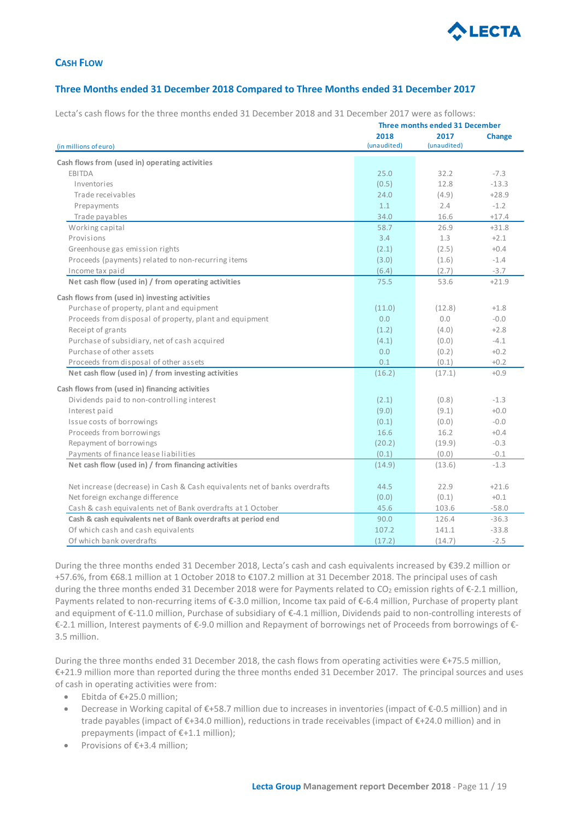

## **CASH FLOW**

## **Three Months ended 31 December 2018 Compared to Three Months ended 31 December 2017**

Lecta's cash flows for the three months ended 31 December 2018 and 31 December 2017 were as follows:

|                                                                            | Three months ended 31 December |             |               |  |  |  |
|----------------------------------------------------------------------------|--------------------------------|-------------|---------------|--|--|--|
|                                                                            | 2018                           | 2017        | <b>Change</b> |  |  |  |
| (in millions of euro)                                                      | (unaudited)                    | (unaudited) |               |  |  |  |
| Cash flows from (used in) operating activities                             |                                |             |               |  |  |  |
| EBITDA                                                                     | 25.0                           | 32.2        | $-7.3$        |  |  |  |
| Inventories                                                                | (0.5)                          | 12.8        | $-13.3$       |  |  |  |
| Trade receivables                                                          | 24.0                           | (4.9)       | $+28.9$       |  |  |  |
| Prepayments                                                                | 1.1                            | 2.4         | $-1.2$        |  |  |  |
| Trade payables                                                             | 34.0                           | 16.6        | $+17.4$       |  |  |  |
| Working capital                                                            | 58.7                           | 26.9        | $+31.8$       |  |  |  |
| Provisions                                                                 | 3.4                            | 1.3         | $+2.1$        |  |  |  |
| Greenhouse gas emission rights                                             | (2.1)                          | (2.5)       | $+0.4$        |  |  |  |
| Proceeds (payments) related to non-recurring items                         | (3.0)                          | (1.6)       | $-1.4$        |  |  |  |
| Income tax paid                                                            | (6.4)                          | (2.7)       | $-3.7$        |  |  |  |
|                                                                            | 75.5                           | 53.6        | $+21.9$       |  |  |  |
| Net cash flow (used in) / from operating activities                        |                                |             |               |  |  |  |
| Cash flows from (used in) investing activities                             |                                |             |               |  |  |  |
| Purchase of property, plant and equipment                                  | (11.0)                         | (12.8)      | $+1.8$        |  |  |  |
| Proceeds from disposal of property, plant and equipment                    | 0.0                            | 0.0         | $-0.0 -$      |  |  |  |
| Receipt of grants                                                          | (1.2)                          | (4.0)       | $+2.8$        |  |  |  |
| Purchase of subsidiary, net of cash acquired                               | (4.1)                          | (0.0)       | $-4.1$        |  |  |  |
| Purchase of other assets                                                   | 0.0                            | (0.2)       | $+0.2$        |  |  |  |
| Proceeds from disposal of other assets                                     | 0.1                            | (0.1)       | $+0.2$        |  |  |  |
| Net cash flow (used in) / from investing activities                        | (16.2)                         | (17.1)      | $+0.9$        |  |  |  |
| Cash flows from (used in) financing activities                             |                                |             |               |  |  |  |
| Dividends paid to non-controlling interest                                 | (2.1)                          | (0.8)       | $-1.3$        |  |  |  |
| Interest paid                                                              | (9.0)                          | (9.1)       | $+0.0$        |  |  |  |
| Issue costs of borrowings                                                  | (0.1)                          | (0.0)       | $-0.0$        |  |  |  |
| Proceeds from borrowings                                                   | 16.6                           | 16.2        | $+0.4$        |  |  |  |
| Repayment of borrowings                                                    | (20.2)                         | (19.9)      | $-0.3$        |  |  |  |
| Payments of finance lease liabilities                                      | (0.1)                          | (0.0)       | $-0.1$        |  |  |  |
| Net cash flow (used in) / from financing activities                        | (14.9)                         | (13.6)      | $-1.3$        |  |  |  |
|                                                                            |                                |             |               |  |  |  |
| Net increase (decrease) in Cash & Cash equivalents net of banks overdrafts | 44.5                           | 22.9        | $+21.6$       |  |  |  |
| Net foreign exchange difference                                            | (0.0)                          | (0.1)       | $+0.1$        |  |  |  |
| Cash & cash equivalents net of Bank overdrafts at 1 October                | 45.6                           | 103.6       | $-58.0$       |  |  |  |
| Cash & cash equivalents net of Bank overdrafts at period end               | 90.0                           | 126.4       | $-36.3$       |  |  |  |
| Of which cash and cash equivalents                                         | 107.2                          | 141.1       | $-33.8$       |  |  |  |
| Of which bank overdrafts                                                   | (17.2)                         | (14.7)      | $-2.5$        |  |  |  |

During the three months ended 31 December 2018, Lecta's cash and cash equivalents increased by €39.2 million or +57.6%, from €68.1 million at 1 October 2018 to €107.2 million at 31 December 2018. The principal uses of cash during the three months ended 31 December 2018 were for Payments related to CO<sub>2</sub> emission rights of  $\epsilon$ -2.1 million, Payments related to non-recurring items of €-3.0 million, Income tax paid of €-6.4 million, Purchase of property plant and equipment of €-11.0 million, Purchase of subsidiary of €-4.1 million, Dividends paid to non-controlling interests of €-2.1 million, Interest payments of €-9.0 million and Repayment of borrowings net of Proceeds from borrowings of €- 3.5 million.

During the three months ended 31 December 2018, the cash flows from operating activities were €+75.5 million, €+21.9 million more than reported during the three months ended 31 December 2017. The principal sources and uses of cash in operating activities were from:

- Ebitda of €+25.0 million;
- Decrease in Working capital of €+58.7 million due to increases in inventories (impact of €-0.5 million) and in trade payables (impact of €+34.0 million), reductions in trade receivables (impact of €+24.0 million) and in prepayments (impact of €+1.1 million);
- Provisions of €+3.4 million;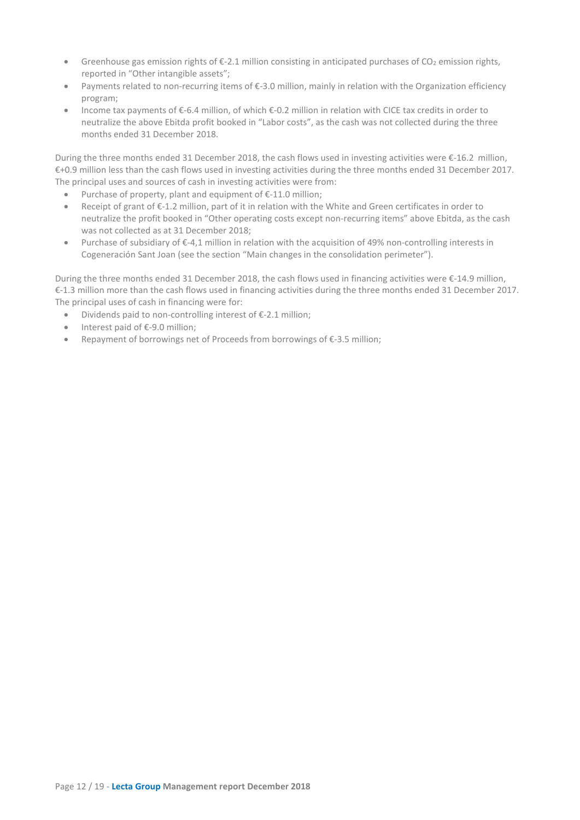- Greenhouse gas emission rights of  $\epsilon$ -2.1 million consisting in anticipated purchases of CO<sub>2</sub> emission rights, reported in "Other intangible assets";
- Payments related to non-recurring items of €-3.0 million, mainly in relation with the Organization efficiency program;
- Income tax payments of €-6.4 million, of which €-0.2 million in relation with CICE tax credits in order to neutralize the above Ebitda profit booked in "Labor costs", as the cash was not collected during the three months ended 31 December 2018.

During the three months ended 31 December 2018, the cash flows used in investing activities were €-16.2 million, €+0.9 million less than the cash flows used in investing activities during the three months ended 31 December 2017. The principal uses and sources of cash in investing activities were from:

- Purchase of property, plant and equipment of €-11.0 million;
- Receipt of grant of €-1.2 million, part of it in relation with the White and Green certificates in order to neutralize the profit booked in "Other operating costs except non-recurring items" above Ebitda, as the cash was not collected as at 31 December 2018;
- Purchase of subsidiary of €-4,1 million in relation with the acquisition of 49% non-controlling interests in Cogeneración Sant Joan (see the section "Main changes in the consolidation perimeter").

During the three months ended 31 December 2018, the cash flows used in financing activities were €-14.9 million, €-1.3 million more than the cash flows used in financing activities during the three months ended 31 December 2017. The principal uses of cash in financing were for:

- Dividends paid to non-controlling interest of  $\epsilon$ -2.1 million;
- Interest paid of €-9.0 million;
- Repayment of borrowings net of Proceeds from borrowings of €-3.5 million;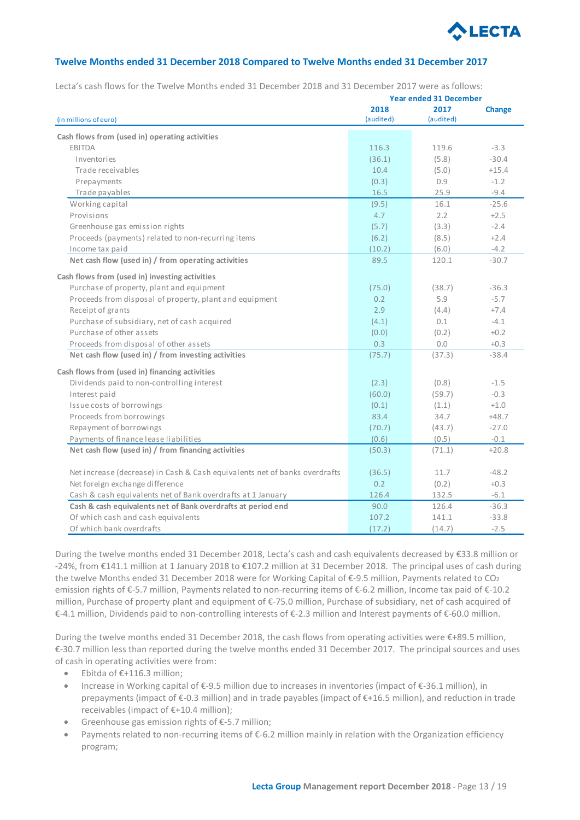

## **Twelve Months ended 31 December 2018 Compared to Twelve Months ended 31 December 2017**

Lecta's cash flows for the Twelve Months ended 31 December 2018 and 31 December 2017 were as follows:

| 2018<br>2017<br><b>Change</b><br>(audited)<br>(audited)<br>Cash flows from (used in) operating activities<br><b>FBITDA</b><br>116.3<br>119.6<br>$-3.3$<br>$-30.4$<br>Inventories<br>(36.1)<br>(5.8)<br>Trade receivables<br>10.4<br>(5.0)<br>$+15.4$<br>(0.3)<br>0.9<br>$-1.2$<br>Prepayments<br>25.9<br>$-9.4$<br>Trade payables<br>16.5<br>$-25.6$<br>Working capital<br>(9.5)<br>16.1<br>Provisions<br>4.7<br>2.2<br>$+2.5$<br>Greenhouse gas emission rights<br>(5.7)<br>$-2.4$<br>(3.3)<br>Proceeds (payments) related to non-recurring items<br>$+2.4$<br>(6.2)<br>(8.5)<br>Income tax paid<br>(10.2)<br>(6.0)<br>$-4.2$<br>Net cash flow (used in) / from operating activities<br>89.5<br>120.1<br>$-30.7$<br>Purchase of property, plant and equipment<br>(75.0)<br>(38.7)<br>$-36.3$<br>$-5.7$<br>Proceeds from disposal of property, plant and equipment<br>0.2<br>5.9<br>Receipt of grants<br>2.9<br>$+7.4$<br>(4.4)<br>Purchase of subsidiary, net of cash acquired<br>(4.1)<br>0.1<br>$-4.1$<br>Purchase of other assets<br>(0.0)<br>(0.2)<br>$+0.2$<br>0.3<br>0.0<br>$+0.3$<br>Proceeds from disposal of other assets<br>Net cash flow (used in) / from investing activities<br>(75.7)<br>$-38.4$<br>(37.3)<br>Dividends paid to non-controlling interest<br>(2.3)<br>(0.8)<br>$-1.5$<br>Interest paid<br>(60.0)<br>(59.7)<br>$-0.3$<br>Issue costs of borrowings<br>(0.1)<br>(1.1)<br>$+1.0$<br>Proceeds from borrowings<br>83.4<br>34.7<br>$+48.7$<br>Repayment of borrowings<br>(70.7)<br>(43.7)<br>$-27.0$<br>Payments of finance lease liabilities<br>(0.6)<br>(0.5)<br>$-0.1$<br>Net cash flow (used in) / from financing activities<br>(50.3)<br>(71.1)<br>$+20.8$<br>Net increase (decrease) in Cash & Cash equivalents net of banks overdrafts<br>$-48.2$<br>(36.5)<br>11.7<br>Net foreign exchange difference<br>0.2<br>$+0.3$<br>(0.2)<br>Cash & cash equivalents net of Bank overdrafts at 1 January<br>126.4<br>132.5<br>$-6.1$<br>Cash & cash equivalents net of Bank overdrafts at period end<br>90.0<br>126.4<br>$-36.3$<br>Of which cash and cash equivalents<br>107.2<br>141.1<br>$-33.8$<br>Of which bank overdrafts<br>(17.2)<br>$-2.5$<br>(14.7) |                                                | <b>Year ended 31 December</b> |  |  |  |  |  |
|-------------------------------------------------------------------------------------------------------------------------------------------------------------------------------------------------------------------------------------------------------------------------------------------------------------------------------------------------------------------------------------------------------------------------------------------------------------------------------------------------------------------------------------------------------------------------------------------------------------------------------------------------------------------------------------------------------------------------------------------------------------------------------------------------------------------------------------------------------------------------------------------------------------------------------------------------------------------------------------------------------------------------------------------------------------------------------------------------------------------------------------------------------------------------------------------------------------------------------------------------------------------------------------------------------------------------------------------------------------------------------------------------------------------------------------------------------------------------------------------------------------------------------------------------------------------------------------------------------------------------------------------------------------------------------------------------------------------------------------------------------------------------------------------------------------------------------------------------------------------------------------------------------------------------------------------------------------------------------------------------------------------------------------------------------------------------------------------------------------------------------------------------------------------------------------|------------------------------------------------|-------------------------------|--|--|--|--|--|
|                                                                                                                                                                                                                                                                                                                                                                                                                                                                                                                                                                                                                                                                                                                                                                                                                                                                                                                                                                                                                                                                                                                                                                                                                                                                                                                                                                                                                                                                                                                                                                                                                                                                                                                                                                                                                                                                                                                                                                                                                                                                                                                                                                                     | (in millions of euro)                          |                               |  |  |  |  |  |
|                                                                                                                                                                                                                                                                                                                                                                                                                                                                                                                                                                                                                                                                                                                                                                                                                                                                                                                                                                                                                                                                                                                                                                                                                                                                                                                                                                                                                                                                                                                                                                                                                                                                                                                                                                                                                                                                                                                                                                                                                                                                                                                                                                                     |                                                |                               |  |  |  |  |  |
|                                                                                                                                                                                                                                                                                                                                                                                                                                                                                                                                                                                                                                                                                                                                                                                                                                                                                                                                                                                                                                                                                                                                                                                                                                                                                                                                                                                                                                                                                                                                                                                                                                                                                                                                                                                                                                                                                                                                                                                                                                                                                                                                                                                     |                                                |                               |  |  |  |  |  |
|                                                                                                                                                                                                                                                                                                                                                                                                                                                                                                                                                                                                                                                                                                                                                                                                                                                                                                                                                                                                                                                                                                                                                                                                                                                                                                                                                                                                                                                                                                                                                                                                                                                                                                                                                                                                                                                                                                                                                                                                                                                                                                                                                                                     |                                                |                               |  |  |  |  |  |
|                                                                                                                                                                                                                                                                                                                                                                                                                                                                                                                                                                                                                                                                                                                                                                                                                                                                                                                                                                                                                                                                                                                                                                                                                                                                                                                                                                                                                                                                                                                                                                                                                                                                                                                                                                                                                                                                                                                                                                                                                                                                                                                                                                                     |                                                |                               |  |  |  |  |  |
|                                                                                                                                                                                                                                                                                                                                                                                                                                                                                                                                                                                                                                                                                                                                                                                                                                                                                                                                                                                                                                                                                                                                                                                                                                                                                                                                                                                                                                                                                                                                                                                                                                                                                                                                                                                                                                                                                                                                                                                                                                                                                                                                                                                     |                                                |                               |  |  |  |  |  |
|                                                                                                                                                                                                                                                                                                                                                                                                                                                                                                                                                                                                                                                                                                                                                                                                                                                                                                                                                                                                                                                                                                                                                                                                                                                                                                                                                                                                                                                                                                                                                                                                                                                                                                                                                                                                                                                                                                                                                                                                                                                                                                                                                                                     |                                                |                               |  |  |  |  |  |
|                                                                                                                                                                                                                                                                                                                                                                                                                                                                                                                                                                                                                                                                                                                                                                                                                                                                                                                                                                                                                                                                                                                                                                                                                                                                                                                                                                                                                                                                                                                                                                                                                                                                                                                                                                                                                                                                                                                                                                                                                                                                                                                                                                                     |                                                |                               |  |  |  |  |  |
|                                                                                                                                                                                                                                                                                                                                                                                                                                                                                                                                                                                                                                                                                                                                                                                                                                                                                                                                                                                                                                                                                                                                                                                                                                                                                                                                                                                                                                                                                                                                                                                                                                                                                                                                                                                                                                                                                                                                                                                                                                                                                                                                                                                     |                                                |                               |  |  |  |  |  |
|                                                                                                                                                                                                                                                                                                                                                                                                                                                                                                                                                                                                                                                                                                                                                                                                                                                                                                                                                                                                                                                                                                                                                                                                                                                                                                                                                                                                                                                                                                                                                                                                                                                                                                                                                                                                                                                                                                                                                                                                                                                                                                                                                                                     |                                                |                               |  |  |  |  |  |
|                                                                                                                                                                                                                                                                                                                                                                                                                                                                                                                                                                                                                                                                                                                                                                                                                                                                                                                                                                                                                                                                                                                                                                                                                                                                                                                                                                                                                                                                                                                                                                                                                                                                                                                                                                                                                                                                                                                                                                                                                                                                                                                                                                                     |                                                |                               |  |  |  |  |  |
|                                                                                                                                                                                                                                                                                                                                                                                                                                                                                                                                                                                                                                                                                                                                                                                                                                                                                                                                                                                                                                                                                                                                                                                                                                                                                                                                                                                                                                                                                                                                                                                                                                                                                                                                                                                                                                                                                                                                                                                                                                                                                                                                                                                     |                                                |                               |  |  |  |  |  |
|                                                                                                                                                                                                                                                                                                                                                                                                                                                                                                                                                                                                                                                                                                                                                                                                                                                                                                                                                                                                                                                                                                                                                                                                                                                                                                                                                                                                                                                                                                                                                                                                                                                                                                                                                                                                                                                                                                                                                                                                                                                                                                                                                                                     |                                                |                               |  |  |  |  |  |
|                                                                                                                                                                                                                                                                                                                                                                                                                                                                                                                                                                                                                                                                                                                                                                                                                                                                                                                                                                                                                                                                                                                                                                                                                                                                                                                                                                                                                                                                                                                                                                                                                                                                                                                                                                                                                                                                                                                                                                                                                                                                                                                                                                                     | Cash flows from (used in) investing activities |                               |  |  |  |  |  |
|                                                                                                                                                                                                                                                                                                                                                                                                                                                                                                                                                                                                                                                                                                                                                                                                                                                                                                                                                                                                                                                                                                                                                                                                                                                                                                                                                                                                                                                                                                                                                                                                                                                                                                                                                                                                                                                                                                                                                                                                                                                                                                                                                                                     |                                                |                               |  |  |  |  |  |
|                                                                                                                                                                                                                                                                                                                                                                                                                                                                                                                                                                                                                                                                                                                                                                                                                                                                                                                                                                                                                                                                                                                                                                                                                                                                                                                                                                                                                                                                                                                                                                                                                                                                                                                                                                                                                                                                                                                                                                                                                                                                                                                                                                                     |                                                |                               |  |  |  |  |  |
|                                                                                                                                                                                                                                                                                                                                                                                                                                                                                                                                                                                                                                                                                                                                                                                                                                                                                                                                                                                                                                                                                                                                                                                                                                                                                                                                                                                                                                                                                                                                                                                                                                                                                                                                                                                                                                                                                                                                                                                                                                                                                                                                                                                     |                                                |                               |  |  |  |  |  |
|                                                                                                                                                                                                                                                                                                                                                                                                                                                                                                                                                                                                                                                                                                                                                                                                                                                                                                                                                                                                                                                                                                                                                                                                                                                                                                                                                                                                                                                                                                                                                                                                                                                                                                                                                                                                                                                                                                                                                                                                                                                                                                                                                                                     |                                                |                               |  |  |  |  |  |
|                                                                                                                                                                                                                                                                                                                                                                                                                                                                                                                                                                                                                                                                                                                                                                                                                                                                                                                                                                                                                                                                                                                                                                                                                                                                                                                                                                                                                                                                                                                                                                                                                                                                                                                                                                                                                                                                                                                                                                                                                                                                                                                                                                                     |                                                |                               |  |  |  |  |  |
|                                                                                                                                                                                                                                                                                                                                                                                                                                                                                                                                                                                                                                                                                                                                                                                                                                                                                                                                                                                                                                                                                                                                                                                                                                                                                                                                                                                                                                                                                                                                                                                                                                                                                                                                                                                                                                                                                                                                                                                                                                                                                                                                                                                     |                                                |                               |  |  |  |  |  |
|                                                                                                                                                                                                                                                                                                                                                                                                                                                                                                                                                                                                                                                                                                                                                                                                                                                                                                                                                                                                                                                                                                                                                                                                                                                                                                                                                                                                                                                                                                                                                                                                                                                                                                                                                                                                                                                                                                                                                                                                                                                                                                                                                                                     |                                                |                               |  |  |  |  |  |
|                                                                                                                                                                                                                                                                                                                                                                                                                                                                                                                                                                                                                                                                                                                                                                                                                                                                                                                                                                                                                                                                                                                                                                                                                                                                                                                                                                                                                                                                                                                                                                                                                                                                                                                                                                                                                                                                                                                                                                                                                                                                                                                                                                                     | Cash flows from (used in) financing activities |                               |  |  |  |  |  |
|                                                                                                                                                                                                                                                                                                                                                                                                                                                                                                                                                                                                                                                                                                                                                                                                                                                                                                                                                                                                                                                                                                                                                                                                                                                                                                                                                                                                                                                                                                                                                                                                                                                                                                                                                                                                                                                                                                                                                                                                                                                                                                                                                                                     |                                                |                               |  |  |  |  |  |
|                                                                                                                                                                                                                                                                                                                                                                                                                                                                                                                                                                                                                                                                                                                                                                                                                                                                                                                                                                                                                                                                                                                                                                                                                                                                                                                                                                                                                                                                                                                                                                                                                                                                                                                                                                                                                                                                                                                                                                                                                                                                                                                                                                                     |                                                |                               |  |  |  |  |  |
|                                                                                                                                                                                                                                                                                                                                                                                                                                                                                                                                                                                                                                                                                                                                                                                                                                                                                                                                                                                                                                                                                                                                                                                                                                                                                                                                                                                                                                                                                                                                                                                                                                                                                                                                                                                                                                                                                                                                                                                                                                                                                                                                                                                     |                                                |                               |  |  |  |  |  |
|                                                                                                                                                                                                                                                                                                                                                                                                                                                                                                                                                                                                                                                                                                                                                                                                                                                                                                                                                                                                                                                                                                                                                                                                                                                                                                                                                                                                                                                                                                                                                                                                                                                                                                                                                                                                                                                                                                                                                                                                                                                                                                                                                                                     |                                                |                               |  |  |  |  |  |
|                                                                                                                                                                                                                                                                                                                                                                                                                                                                                                                                                                                                                                                                                                                                                                                                                                                                                                                                                                                                                                                                                                                                                                                                                                                                                                                                                                                                                                                                                                                                                                                                                                                                                                                                                                                                                                                                                                                                                                                                                                                                                                                                                                                     |                                                |                               |  |  |  |  |  |
|                                                                                                                                                                                                                                                                                                                                                                                                                                                                                                                                                                                                                                                                                                                                                                                                                                                                                                                                                                                                                                                                                                                                                                                                                                                                                                                                                                                                                                                                                                                                                                                                                                                                                                                                                                                                                                                                                                                                                                                                                                                                                                                                                                                     |                                                |                               |  |  |  |  |  |
|                                                                                                                                                                                                                                                                                                                                                                                                                                                                                                                                                                                                                                                                                                                                                                                                                                                                                                                                                                                                                                                                                                                                                                                                                                                                                                                                                                                                                                                                                                                                                                                                                                                                                                                                                                                                                                                                                                                                                                                                                                                                                                                                                                                     |                                                |                               |  |  |  |  |  |
|                                                                                                                                                                                                                                                                                                                                                                                                                                                                                                                                                                                                                                                                                                                                                                                                                                                                                                                                                                                                                                                                                                                                                                                                                                                                                                                                                                                                                                                                                                                                                                                                                                                                                                                                                                                                                                                                                                                                                                                                                                                                                                                                                                                     |                                                |                               |  |  |  |  |  |
|                                                                                                                                                                                                                                                                                                                                                                                                                                                                                                                                                                                                                                                                                                                                                                                                                                                                                                                                                                                                                                                                                                                                                                                                                                                                                                                                                                                                                                                                                                                                                                                                                                                                                                                                                                                                                                                                                                                                                                                                                                                                                                                                                                                     |                                                |                               |  |  |  |  |  |
|                                                                                                                                                                                                                                                                                                                                                                                                                                                                                                                                                                                                                                                                                                                                                                                                                                                                                                                                                                                                                                                                                                                                                                                                                                                                                                                                                                                                                                                                                                                                                                                                                                                                                                                                                                                                                                                                                                                                                                                                                                                                                                                                                                                     |                                                |                               |  |  |  |  |  |
|                                                                                                                                                                                                                                                                                                                                                                                                                                                                                                                                                                                                                                                                                                                                                                                                                                                                                                                                                                                                                                                                                                                                                                                                                                                                                                                                                                                                                                                                                                                                                                                                                                                                                                                                                                                                                                                                                                                                                                                                                                                                                                                                                                                     |                                                |                               |  |  |  |  |  |
|                                                                                                                                                                                                                                                                                                                                                                                                                                                                                                                                                                                                                                                                                                                                                                                                                                                                                                                                                                                                                                                                                                                                                                                                                                                                                                                                                                                                                                                                                                                                                                                                                                                                                                                                                                                                                                                                                                                                                                                                                                                                                                                                                                                     |                                                |                               |  |  |  |  |  |
|                                                                                                                                                                                                                                                                                                                                                                                                                                                                                                                                                                                                                                                                                                                                                                                                                                                                                                                                                                                                                                                                                                                                                                                                                                                                                                                                                                                                                                                                                                                                                                                                                                                                                                                                                                                                                                                                                                                                                                                                                                                                                                                                                                                     |                                                |                               |  |  |  |  |  |

During the twelve months ended 31 December 2018, Lecta's cash and cash equivalents decreased by €33.8 million or -24%, from €141.1 million at 1 January 2018 to €107.2 million at 31 December 2018. The principal uses of cash during the twelve Months ended 31 December 2018 were for Working Capital of €-9.5 million, Payments related to CO2 emission rights of €-5.7 million, Payments related to non-recurring items of €-6.2 million, Income tax paid of €-10.2 million, Purchase of property plant and equipment of €-75.0 million, Purchase of subsidiary, net of cash acquired of €-4.1 million, Dividends paid to non-controlling interests of €-2.3 million and Interest payments of €-60.0 million.

During the twelve months ended 31 December 2018, the cash flows from operating activities were €+89.5 million, €-30.7 million less than reported during the twelve months ended 31 December 2017. The principal sources and uses of cash in operating activities were from:

- Ebitda of €+116.3 million;
- Increase in Working capital of €-9.5 million due to increases in inventories (impact of €-36.1 million), in prepayments (impact of €-0.3 million) and in trade payables (impact of €+16.5 million), and reduction in trade receivables (impact of €+10.4 million);
- Greenhouse gas emission rights of  $\epsilon$ -5.7 million;
- Payments related to non-recurring items of €-6.2 million mainly in relation with the Organization efficiency program;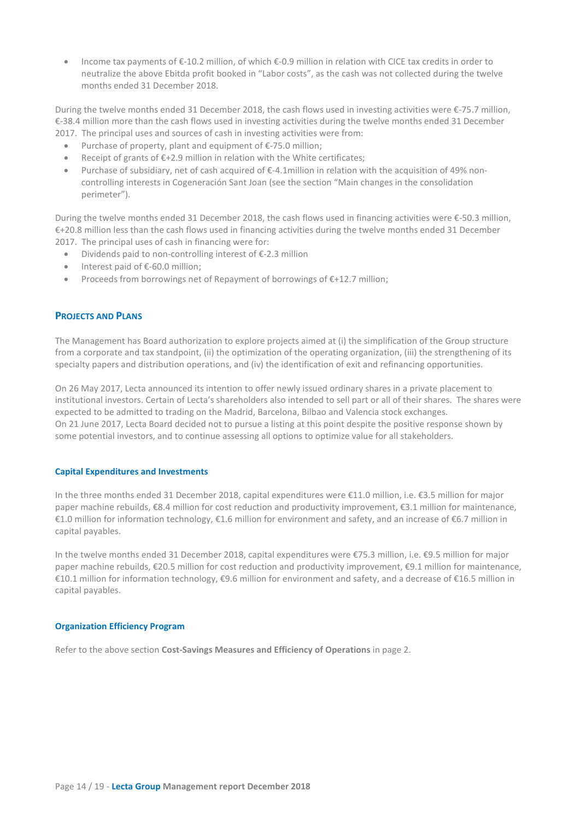• Income tax payments of €-10.2 million, of which €-0.9 million in relation with CICE tax credits in order to neutralize the above Ebitda profit booked in "Labor costs", as the cash was not collected during the twelve months ended 31 December 2018.

During the twelve months ended 31 December 2018, the cash flows used in investing activities were €-75.7 million, €-38.4 million more than the cash flows used in investing activities during the twelve months ended 31 December 2017. The principal uses and sources of cash in investing activities were from:

- Purchase of property, plant and equipment of €-75.0 million;
- Receipt of grants of €+2.9 million in relation with the White certificates;
- Purchase of subsidiary, net of cash acquired of €-4.1million in relation with the acquisition of 49% noncontrolling interests in Cogeneración Sant Joan (see the section "Main changes in the consolidation perimeter").

During the twelve months ended 31 December 2018, the cash flows used in financing activities were €-50.3 million, €+20.8 million less than the cash flows used in financing activities during the twelve months ended 31 December 2017. The principal uses of cash in financing were for:

- Dividends paid to non-controlling interest of €-2.3 million
- Interest paid of €-60.0 million;
- Proceeds from borrowings net of Repayment of borrowings of €+12.7 million;

## **PROJECTS AND PLANS**

The Management has Board authorization to explore projects aimed at (i) the simplification of the Group structure from a corporate and tax standpoint, (ii) the optimization of the operating organization, (iii) the strengthening of its specialty papers and distribution operations, and (iv) the identification of exit and refinancing opportunities.

On 26 May 2017, Lecta announced its intention to offer newly issued ordinary shares in a private placement to institutional investors. Certain of Lecta's shareholders also intended to sell part or all of their shares. The shares were expected to be admitted to trading on the Madrid, Barcelona, Bilbao and Valencia stock exchanges. On 21 June 2017, Lecta Board decided not to pursue a listing at this point despite the positive response shown by some potential investors, and to continue assessing all options to optimize value for all stakeholders.

#### **Capital Expenditures and Investments**

In the three months ended 31 December 2018, capital expenditures were €11.0 million, i.e. €3.5 million for major paper machine rebuilds, €8.4 million for cost reduction and productivity improvement, €3.1 million for maintenance, €1.0 million for information technology, €1.6 million for environment and safety, and an increase of €6.7 million in capital payables.

In the twelve months ended 31 December 2018, capital expenditures were €75.3 million, i.e. €9.5 million for major paper machine rebuilds, €20.5 million for cost reduction and productivity improvement, €9.1 million for maintenance, €10.1 million for information technology, €9.6 million for environment and safety, and a decrease of €16.5 million in capital payables.

## **Organization Efficiency Program**

Refer to the above section **Cost-Savings Measures and Efficiency of Operations** in page 2.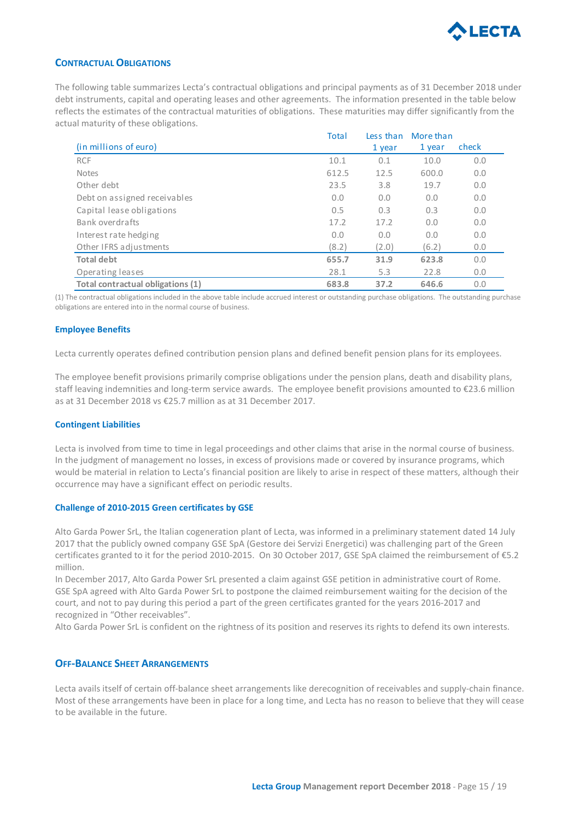

## **CONTRACTUAL OBLIGATIONS**

The following table summarizes Lecta's contractual obligations and principal payments as of 31 December 2018 under debt instruments, capital and operating leases and other agreements. The information presented in the table below reflects the estimates of the contractual maturities of obligations. These maturities may differ significantly from the actual maturity of these obligations.

|                                   | <b>Total</b> | Less than | More than |       |
|-----------------------------------|--------------|-----------|-----------|-------|
| (in millions of euro)             |              | 1 year    | 1 year    | check |
| <b>RCF</b>                        | 10.1         | 0.1       | 10.0      | 0.0   |
| <b>Notes</b>                      | 612.5        | 12.5      | 600.0     | 0.0   |
| Other debt                        | 23.5         | 3.8       | 19.7      | 0.0   |
| Debt on assigned receivables      | 0.0          | 0.0       | 0.0       | 0.0   |
| Capital lease obligations         | 0.5          | 0.3       | 0.3       | 0.0   |
| Bank overdrafts                   | 17.2         | 17.2      | 0.0       | 0.0   |
| Interest rate hedging             | 0.0          | 0.0       | 0.0       | 0.0   |
| Other IFRS adjustments            | (8.2)        | (2.0)     | (6.2)     | 0.0   |
| <b>Total debt</b>                 | 655.7        | 31.9      | 623.8     | 0.0   |
| Operating leases                  | 28.1         | 5.3       | 22.8      | 0.0   |
| Total contractual obligations (1) | 683.8        | 37.2      | 646.6     | 0.0   |

(1) The contractual obligations included in the above table include accrued interest or outstanding purchase obligations. The outstanding purchase obligations are entered into in the normal course of business.

## **Employee Benefits**

Lecta currently operates defined contribution pension plans and defined benefit pension plans for its employees.

The employee benefit provisions primarily comprise obligations under the pension plans, death and disability plans, staff leaving indemnities and long-term service awards. The employee benefit provisions amounted to €23.6 million as at 31 December 2018 vs €25.7 million as at 31 December 2017.

#### **Contingent Liabilities**

Lecta is involved from time to time in legal proceedings and other claims that arise in the normal course of business. In the judgment of management no losses, in excess of provisions made or covered by insurance programs, which would be material in relation to Lecta's financial position are likely to arise in respect of these matters, although their occurrence may have a significant effect on periodic results.

#### **Challenge of 2010-2015 Green certificates by GSE**

Alto Garda Power SrL, the Italian cogeneration plant of Lecta, was informed in a preliminary statement dated 14 July 2017 that the publicly owned company GSE SpA (Gestore dei Servizi Energetici) was challenging part of the Green certificates granted to it for the period 2010-2015. On 30 October 2017, GSE SpA claimed the reimbursement of €5.2 million.

In December 2017, Alto Garda Power SrL presented a claim against GSE petition in administrative court of Rome. GSE SpA agreed with Alto Garda Power SrL to postpone the claimed reimbursement waiting for the decision of the court, and not to pay during this period a part of the green certificates granted for the years 2016-2017 and recognized in "Other receivables".

Alto Garda Power SrL is confident on the rightness of its position and reserves its rights to defend its own interests.

## **OFF-BALANCE SHEET ARRANGEMENTS**

Lecta avails itself of certain off-balance sheet arrangements like derecognition of receivables and supply-chain finance. Most of these arrangements have been in place for a long time, and Lecta has no reason to believe that they will cease to be available in the future.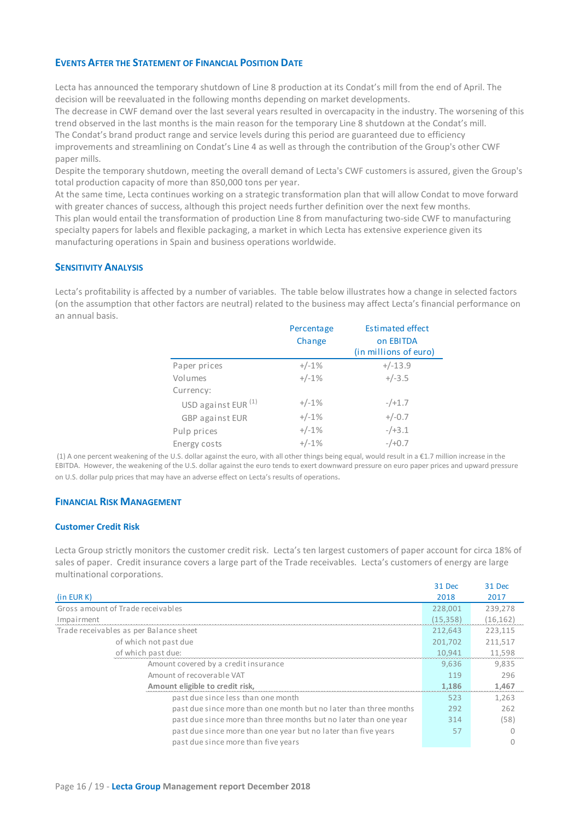## **EVENTS AFTER THE STATEMENT OF FINANCIAL POSITION DATE**

Lecta has announced the temporary shutdown of Line 8 production at its Condat's mill from the end of April. The decision will be reevaluated in the following months depending on market developments.

The decrease in CWF demand over the last several years resulted in overcapacity in the industry. The worsening of this trend observed in the last months is the main reason for the temporary Line 8 shutdown at the Condat's mill. The Condat's brand product range and service levels during this period are guaranteed due to efficiency

improvements and streamlining on Condat's Line 4 as well as through the contribution of the Group's other CWF paper mills.

Despite the temporary shutdown, meeting the overall demand of Lecta's CWF customers is assured, given the Group's total production capacity of more than 850,000 tons per year.

At the same time, Lecta continues working on a strategic transformation plan that will allow Condat to move forward with greater chances of success, although this project needs further definition over the next few months. This plan would entail the transformation of production Line 8 from manufacturing two-side CWF to manufacturing specialty papers for labels and flexible packaging, a market in which Lecta has extensive experience given its manufacturing operations in Spain and business operations worldwide.

## **SENSITIVITY ANALYSIS**

Lecta's profitability is affected by a number of variables. The table below illustrates how a change in selected factors (on the assumption that other factors are neutral) related to the business may affect Lecta's financial performance on an annual basis.

|                                | Percentage | <b>Estimated effect</b>            |
|--------------------------------|------------|------------------------------------|
|                                | Change     | on EBITDA<br>(in millions of euro) |
| Paper prices                   | $+/-1%$    | $+/-13.9$                          |
| Volumes                        | $+/-1%$    | $+/-3.5$                           |
| Currency:                      |            |                                    |
| USD against EUR <sup>(1)</sup> | $+/-1%$    | $-/-1.7$                           |
| GBP against EUR                | $+/-1%$    | $+/-0.7$                           |
| Pulp prices                    | $+/-1%$    | $-/-3.1$                           |
| Energy costs                   | $+/-1%$    | $-/-0.7$                           |

(1) A one percent weakening of the U.S. dollar against the euro, with all other things being equal, would result in a €1.7 million increase in the EBITDA. However, the weakening of the U.S. dollar against the euro tends to exert downward pressure on euro paper prices and upward pressure on U.S. dollar pulp prices that may have an adverse effect on Lecta's results of operations.

## **FINANCIAL RISK MANAGEMENT**

## **Customer Credit Risk**

Lecta Group strictly monitors the customer credit risk. Lecta's ten largest customers of paper account for circa 18% of sales of paper. Credit insurance covers a large part of the Trade receivables. Lecta's customers of energy are large multinational corporations.

31 Dec 31 Dec

|                                                                   | 3.I Dec   | 31 Dec    |
|-------------------------------------------------------------------|-----------|-----------|
| (in EUR K)                                                        | 2018      | 2017      |
| Gross amount of Trade receivables                                 | 228,001   | 239,278   |
| Impairment                                                        | (15, 358) | (16, 162) |
| Trade receivables as per Balance sheet                            | 212.643   | 223,115   |
| of which not past due                                             | 201.702   | 211,517   |
| of which past due:                                                | 10,941    | 11,598    |
| Amount covered by a credit insurance                              | 9.636     | 9.835     |
| Amount of recoverable VAT                                         | 119       | 296       |
| Amount eligible to credit risk,                                   | 1,186     | 1,467     |
| past due since less than one month                                | 523       | 1,263     |
| past due since more than one month but no later than three months | 292       | 262       |
| past due since more than three months but no later than one year  | 314       | (58)      |
| past due since more than one year but no later than five years    | 57        |           |
| past due since more than five years                               |           |           |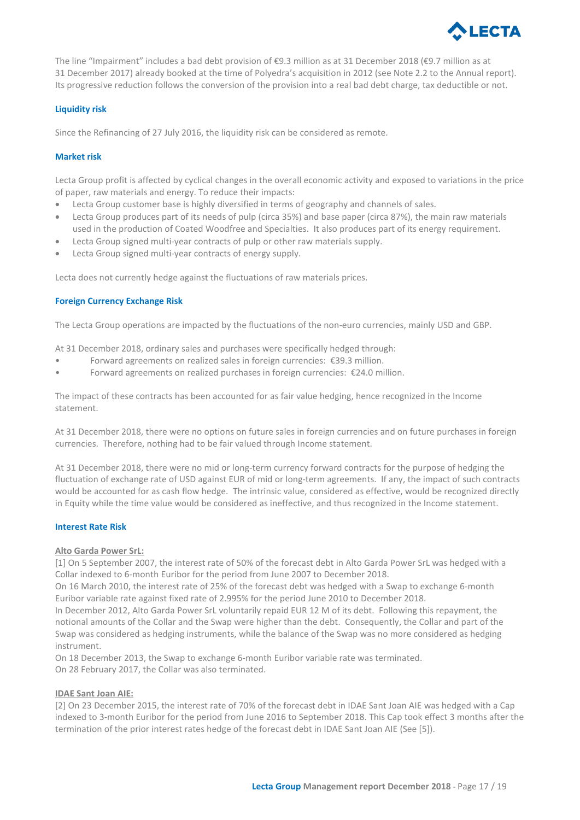

The line "Impairment" includes a bad debt provision of €9.3 million as at 31 December 2018 (€9.7 million as at 31 December 2017) already booked at the time of Polyedra's acquisition in 2012 (see Note 2.2 to the Annual report). Its progressive reduction follows the conversion of the provision into a real bad debt charge, tax deductible or not.

## **Liquidity risk**

Since the Refinancing of 27 July 2016, the liquidity risk can be considered as remote.

## **Market risk**

Lecta Group profit is affected by cyclical changes in the overall economic activity and exposed to variations in the price of paper, raw materials and energy. To reduce their impacts:

- Lecta Group customer base is highly diversified in terms of geography and channels of sales.
- Lecta Group produces part of its needs of pulp (circa 35%) and base paper (circa 87%), the main raw materials used in the production of Coated Woodfree and Specialties. It also produces part of its energy requirement.
- Lecta Group signed multi-year contracts of pulp or other raw materials supply.
- Lecta Group signed multi-year contracts of energy supply.

Lecta does not currently hedge against the fluctuations of raw materials prices.

## **Foreign Currency Exchange Risk**

The Lecta Group operations are impacted by the fluctuations of the non-euro currencies, mainly USD and GBP.

At 31 December 2018, ordinary sales and purchases were specifically hedged through:

- Forward agreements on realized sales in foreign currencies: €39.3 million.
- Forward agreements on realized purchases in foreign currencies: €24.0 million.

The impact of these contracts has been accounted for as fair value hedging, hence recognized in the Income statement.

At 31 December 2018, there were no options on future sales in foreign currencies and on future purchases in foreign currencies. Therefore, nothing had to be fair valued through Income statement.

At 31 December 2018, there were no mid or long-term currency forward contracts for the purpose of hedging the fluctuation of exchange rate of USD against EUR of mid or long-term agreements. If any, the impact of such contracts would be accounted for as cash flow hedge. The intrinsic value, considered as effective, would be recognized directly in Equity while the time value would be considered as ineffective, and thus recognized in the Income statement.

## **Interest Rate Risk**

#### **Alto Garda Power SrL:**

[1] On 5 September 2007, the interest rate of 50% of the forecast debt in Alto Garda Power SrL was hedged with a Collar indexed to 6-month Euribor for the period from June 2007 to December 2018.

On 16 March 2010, the interest rate of 25% of the forecast debt was hedged with a Swap to exchange 6-month Euribor variable rate against fixed rate of 2.995% for the period June 2010 to December 2018.

In December 2012, Alto Garda Power SrL voluntarily repaid EUR 12 M of its debt. Following this repayment, the notional amounts of the Collar and the Swap were higher than the debt. Consequently, the Collar and part of the Swap was considered as hedging instruments, while the balance of the Swap was no more considered as hedging instrument.

On 18 December 2013, the Swap to exchange 6-month Euribor variable rate was terminated. On 28 February 2017, the Collar was also terminated.

#### **IDAE Sant Joan AIE:**

[2] On 23 December 2015, the interest rate of 70% of the forecast debt in IDAE Sant Joan AIE was hedged with a Cap indexed to 3-month Euribor for the period from June 2016 to September 2018. This Cap took effect 3 months after the termination of the prior interest rates hedge of the forecast debt in IDAE Sant Joan AIE (See [5]).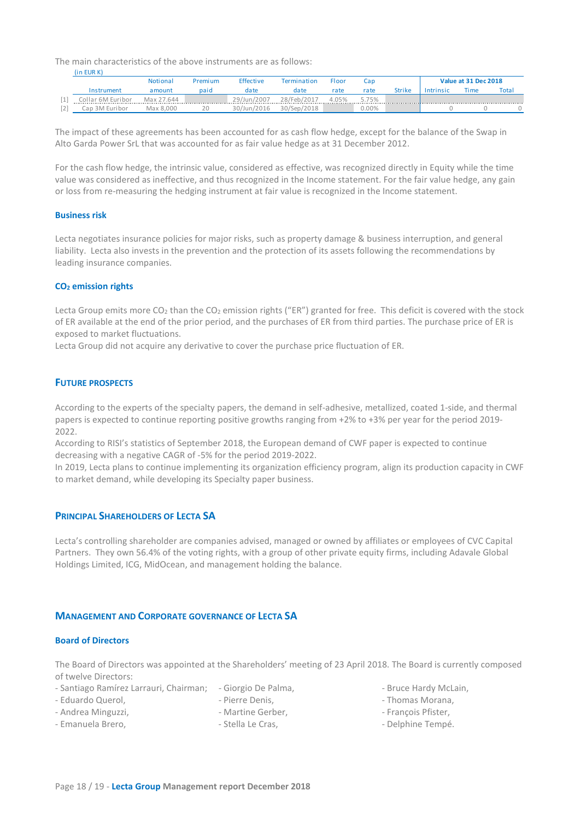The main characteristics of the above instruments are as follows:

|    | IIII EUN NI       |            |         |                  |             |       |          |               |                      |      |       |
|----|-------------------|------------|---------|------------------|-------------|-------|----------|---------------|----------------------|------|-------|
|    |                   | Notional   | Premium | <b>Effective</b> | Termination | Floor | Cap      |               | Value at 31 Dec 2018 |      |       |
|    | Instrument        | amount     | paid    | date             | date        | rate  | rate     | <b>Strike</b> | Intrinsic            | Time | Total |
| L. | Collar 6M Euribor | Max 27.644 |         | 29/Jun/2007      | 28/Feb/2017 | 4.05% | 5.75%    |               |                      |      |       |
|    | Cap 3M Euribor    | Max 8.000  |         | 30/Jun/2016      | 30/Sep/2018 |       | $0.00\%$ |               |                      |      |       |

The impact of these agreements has been accounted for as cash flow hedge, except for the balance of the Swap in Alto Garda Power SrL that was accounted for as fair value hedge as at 31 December 2012.

For the cash flow hedge, the intrinsic value, considered as effective, was recognized directly in Equity while the time value was considered as ineffective, and thus recognized in the Income statement. For the fair value hedge, any gain or loss from re-measuring the hedging instrument at fair value is recognized in the Income statement.

## **Business risk**

(in EUR K)

Lecta negotiates insurance policies for major risks, such as property damage & business interruption, and general liability. Lecta also invests in the prevention and the protection of its assets following the recommendations by leading insurance companies.

#### **CO2 emission rights**

Lecta Group emits more  $CO_2$  than the  $CO_2$  emission rights ("ER") granted for free. This deficit is covered with the stock of ER available at the end of the prior period, and the purchases of ER from third parties. The purchase price of ER is exposed to market fluctuations.

Lecta Group did not acquire any derivative to cover the purchase price fluctuation of ER.

## **FUTURE PROSPECTS**

According to the experts of the specialty papers, the demand in self-adhesive, metallized, coated 1-side, and thermal papers is expected to continue reporting positive growths ranging from +2% to +3% per year for the period 2019- 2022.

According to RISI's statistics of September 2018, the European demand of CWF paper is expected to continue decreasing with a negative CAGR of -5% for the period 2019-2022.

In 2019, Lecta plans to continue implementing its organization efficiency program, align its production capacity in CWF to market demand, while developing its Specialty paper business.

## **PRINCIPAL SHAREHOLDERS OF LECTA SA**

Lecta's controlling shareholder are companies advised, managed or owned by affiliates or employees of CVC Capital Partners. They own 56.4% of the voting rights, with a group of other private equity firms, including Adavale Global Holdings Limited, ICG, MidOcean, and management holding the balance.

## **MANAGEMENT AND CORPORATE GOVERNANCE OF LECTA SA**

#### **Board of Directors**

The Board of Directors was appointed at the Shareholders' meeting of 23 April 2018. The Board is currently composed of twelve Directors:

- Santiago Ramírez Larrauri, Chairman; Giorgio De Palma,
	- Pierre Denis,
- Eduardo Querol, - Andrea Minguzzi,
- Martine Gerber,
- Emanuela Brero,
- Stella Le Cras,
- Bruce Hardy McLain,
- Thomas Morana,
- François Pfister,
- Delphine Tempé.